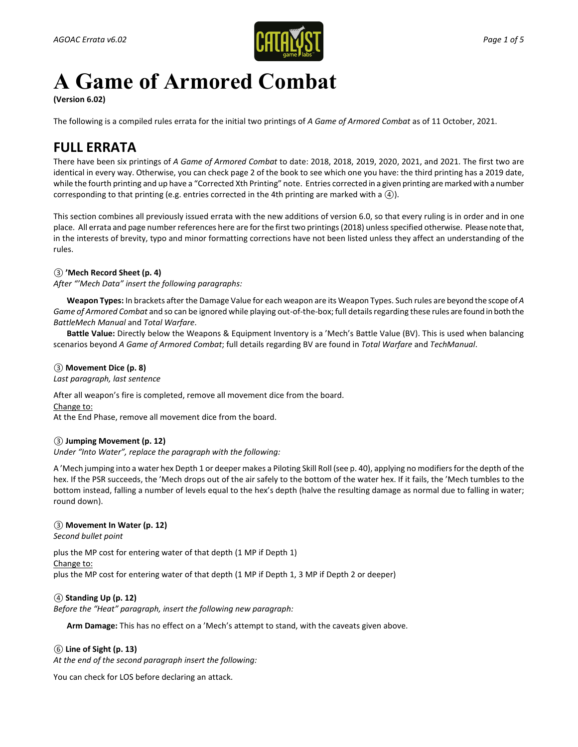

# **A Game of Armored Combat**

**(Version 6.02)** 

The following is a compiled rules errata for the initial two printings of *A Game of Armored Combat* as of 11 October, 2021.

# **FULL ERRATA**

There have been six printings of *A Game of Armored Combat* to date: 2018, 2018, 2019, 2020, 2021, and 2021. The first two are identical in every way. Otherwise, you can check page 2 of the book to see which one you have: the third printing has a 2019 date, while the fourth printing and up have a "Corrected Xth Printing" note. Entries corrected in a given printing are marked with a number corresponding to that printing (e.g. entries corrected in the 4th printing are marked with a *④*).

This section combines all previously issued errata with the new additions of version 6.0, so that every ruling is in order and in one place. All errata and page number references here are for the first two printings (2018) unless specified otherwise. Please note that, in the interests of brevity, typo and minor formatting corrections have not been listed unless they affect an understanding of the rules.

# *③* **'Mech Record Sheet (p. 4)**

*After "'Mech Data" insert the following paragraphs:*

**Weapon Types:** In brackets after the Damage Value for each weapon are its Weapon Types. Such rules are beyond the scope of *A Game of Armored Combat* and so can be ignored while playing out-of-the-box; full details regarding these rules are found in both the *BattleMech Manual* and *Total Warfare*.

**Battle Value:** Directly below the Weapons & Equipment Inventory is a 'Mech's Battle Value (BV). This is used when balancing scenarios beyond *A Game of Armored Combat*; full details regarding BV are found in *Total Warfare* and *TechManual*.

*③* **Movement Dice (p. 8)**  *Last paragraph, last sentence*

After all weapon's fire is completed, remove all movement dice from the board. Change to: At the End Phase, remove all movement dice from the board.

# *③* **Jumping Movement (p. 12)**

*Under "Into Water", replace the paragraph with the following:*

A 'Mech jumping into a water hex Depth 1 or deeper makes a Piloting Skill Roll (see p. 40), applying no modifiers for the depth of the hex. If the PSR succeeds, the 'Mech drops out of the air safely to the bottom of the water hex. If it fails, the 'Mech tumbles to the bottom instead, falling a number of levels equal to the hex's depth (halve the resulting damage as normal due to falling in water; round down).

# *③* **Movement In Water (p. 12)**

*Second bullet point*

plus the MP cost for entering water of that depth (1 MP if Depth 1)

Change to:

plus the MP cost for entering water of that depth (1 MP if Depth 1, 3 MP if Depth 2 or deeper)

# *④* **Standing Up (p. 12)**

*Before the "Heat" paragraph, insert the following new paragraph:*

**Arm Damage:** This has no effect on a 'Mech's attempt to stand, with the caveats given above.

# *⑥* **Line of Sight (p. 13)**

*At the end of the second paragraph insert the following:*

You can check for LOS before declaring an attack.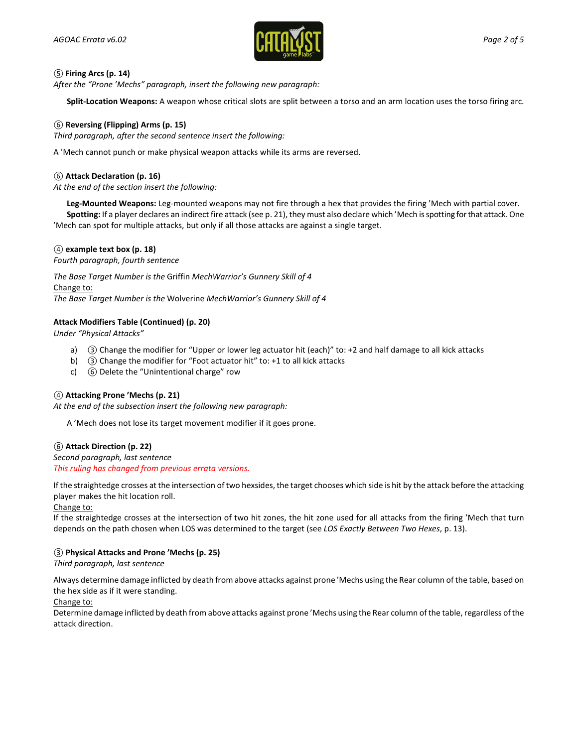

# *⑤* **Firing Arcs (p. 14)**

*After the "Prone 'Mechs" paragraph, insert the following new paragraph:*

**Split-Location Weapons:** A weapon whose critical slots are split between a torso and an arm location uses the torso firing arc.

# *⑥* **Reversing (Flipping) Arms (p. 15)**

*Third paragraph, after the second sentence insert the following:*

A 'Mech cannot punch or make physical weapon attacks while its arms are reversed.

# *⑥* **Attack Declaration (p. 16)**

*At the end of the section insert the following:*

**Leg-Mounted Weapons:** Leg-mounted weapons may not fire through a hex that provides the firing 'Mech with partial cover. **Spotting:** If a player declares an indirect fire attack (see p. 21), they must also declare which 'Mech is spotting for that attack. One 'Mech can spot for multiple attacks, but only if all those attacks are against a single target.

#### *④* **example text box (p. 18)**

*Fourth paragraph, fourth sentence*

*The Base Target Number is the* Griffin *MechWarrior's Gunnery Skill of 4* Change to: *The Base Target Number is the* Wolverine *MechWarrior's Gunnery Skill of 4*

# **Attack Modifiers Table (Continued) (p. 20)**

*Under "Physical Attacks"*

- a) *③* Change the modifier for "Upper or lower leg actuator hit (each)" to: +2 and half damage to all kick attacks
- b) *③* Change the modifier for "Foot actuator hit" to: +1 to all kick attacks
- c) *⑥* Delete the "Unintentional charge" row

#### *④* **Attacking Prone 'Mechs (p. 21)**

*At the end of the subsection insert the following new paragraph:*

A 'Mech does not lose its target movement modifier if it goes prone.

#### *⑥* **Attack Direction (p. 22)**

*Second paragraph, last sentence This ruling has changed from previous errata versions.*

If the straightedge crosses at the intersection of two hexsides, the target chooses which side is hit by the attack before the attacking player makes the hit location roll.

#### Change to:

If the straightedge crosses at the intersection of two hit zones, the hit zone used for all attacks from the firing 'Mech that turn depends on the path chosen when LOS was determined to the target (see *LOS Exactly Between Two Hexes*, p. 13).

#### *③* **Physical Attacks and Prone 'Mechs (p. 25)**

*Third paragraph, last sentence*

Always determine damage inflicted by death from above attacks against prone 'Mechs using the Rear column of the table, based on the hex side as if it were standing.

#### Change to:

Determine damage inflicted by death from above attacks against prone 'Mechs using the Rear column of the table, regardless of the attack direction.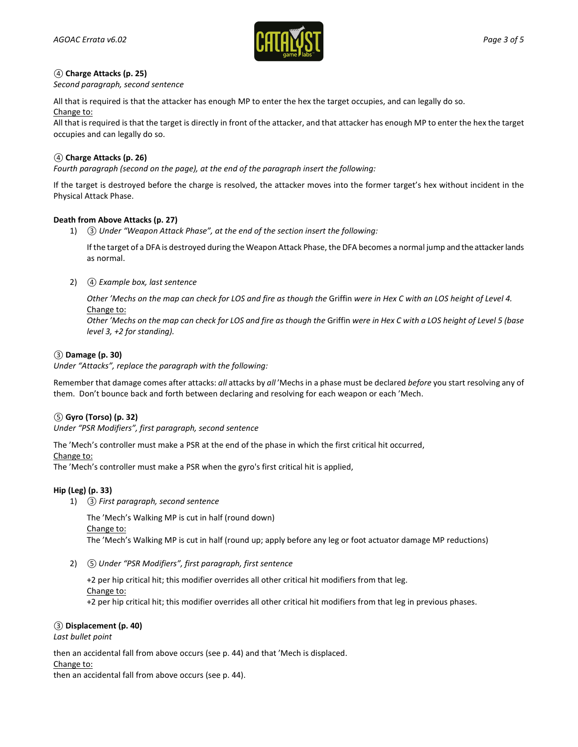

# *④* **Charge Attacks (p. 25)**

*Second paragraph, second sentence*

All that is required is that the attacker has enough MP to enter the hex the target occupies, and can legally do so. Change to:

All that is required is that the target is directly in front of the attacker, and that attacker has enough MP to enter the hex the target occupies and can legally do so.

# *④* **Charge Attacks (p. 26)**

*Fourth paragraph (second on the page), at the end of the paragraph insert the following:*

If the target is destroyed before the charge is resolved, the attacker moves into the former target's hex without incident in the Physical Attack Phase.

#### **Death from Above Attacks (p. 27)**

1) *③ Under "Weapon Attack Phase", at the end of the section insert the following:*

If the target of a DFA is destroyed during the Weapon Attack Phase, the DFA becomes a normal jump and the attacker lands as normal.

2) *④ Example box, last sentence* 

*Other 'Mechs on the map can check for LOS and fire as though the* Griffin *were in Hex C with an LOS height of Level 4.* Change to:

*Other 'Mechs on the map can check for LOS and fire as though the* Griffin *were in Hex C with a LOS height of Level 5 (base level 3, +2 for standing).*

#### *③* **Damage (p. 30)**

*Under "Attacks", replace the paragraph with the following:*

Remember that damage comes after attacks: *all* attacks by *all* 'Mechs in a phase must be declared *before* you start resolving any of them. Don't bounce back and forth between declaring and resolving for each weapon or each 'Mech.

#### *⑤* **Gyro (Torso) (p. 32)**

*Under "PSR Modifiers", first paragraph, second sentence*

The 'Mech's controller must make a PSR at the end of the phase in which the first critical hit occurred,

Change to:

The 'Mech's controller must make a PSR when the gyro's first critical hit is applied,

#### **Hip (Leg) (p. 33)**

1) *③ First paragraph, second sentence*

The 'Mech's Walking MP is cut in half (round down)

Change to:

The 'Mech's Walking MP is cut in half (round up; apply before any leg or foot actuator damage MP reductions)

2) *⑤ Under "PSR Modifiers", first paragraph, first sentence*

+2 per hip critical hit; this modifier overrides all other critical hit modifiers from that leg. Change to: +2 per hip critical hit; this modifier overrides all other critical hit modifiers from that leg in previous phases.

#### *③* **Displacement (p. 40)**

*Last bullet point*

then an accidental fall from above occurs (see p. 44) and that 'Mech is displaced.

#### Change to:

then an accidental fall from above occurs (see p. 44).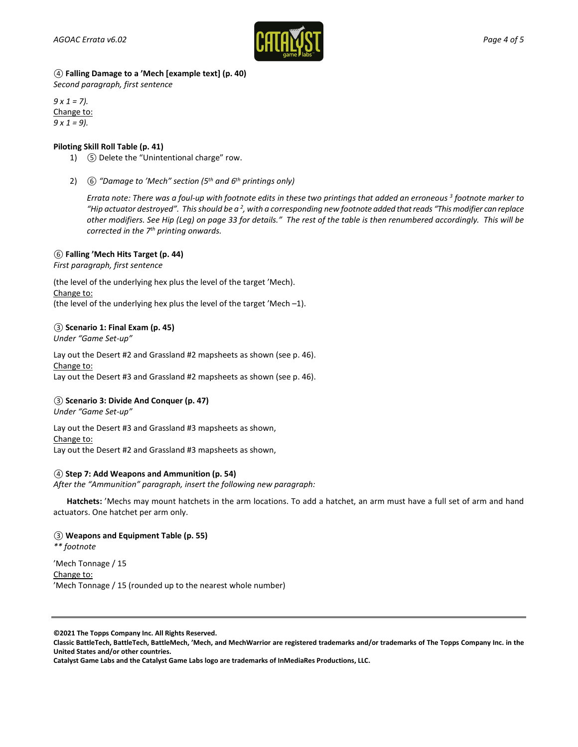

*④* **Falling Damage to a 'Mech [example text] (p. 40)** 

*Second paragraph, first sentence*

*9 x 1 = 7).* Change to: *9 x 1 = 9).*

# **Piloting Skill Roll Table (p. 41)**

- 1) *⑤* Delete the "Unintentional charge" row.
- 2) *⑥ "Damage to 'Mech" section (5th and 6th printings only)*

*Errata note: There was a foul-up with footnote edits in these two printings that added an erroneous 3 footnote marker to "Hip actuator destroyed". This should be a 2, with a corresponding new footnote added that reads "This modifier can replace other modifiers. See Hip (Leg) on page 33 for details." The rest of the table is then renumbered accordingly. This will be corrected in the 7th printing onwards.*

# *⑥* **Falling 'Mech Hits Target (p. 44)**

*First paragraph, first sentence*

(the level of the underlying hex plus the level of the target 'Mech). Change to: (the level of the underlying hex plus the level of the target 'Mech –1).

# *③* **Scenario 1: Final Exam (p. 45)**

*Under "Game Set-up"*

Lay out the Desert #2 and Grassland #2 mapsheets as shown (see p. 46). Change to: Lay out the Desert #3 and Grassland #2 mapsheets as shown (see p. 46).

# *③* **Scenario 3: Divide And Conquer (p. 47)**

*Under "Game Set-up"*

Lay out the Desert #3 and Grassland #3 mapsheets as shown, Change to:

Lay out the Desert #2 and Grassland #3 mapsheets as shown,

#### *④* **Step 7: Add Weapons and Ammunition (p. 54)**

*After the "Ammunition" paragraph, insert the following new paragraph:*

**Hatchets:** 'Mechs may mount hatchets in the arm locations. To add a hatchet, an arm must have a full set of arm and hand actuators. One hatchet per arm only.

#### *③* **Weapons and Equipment Table (p. 55)**

*\*\* footnote*

'Mech Tonnage / 15 Change to: 'Mech Tonnage / 15 (rounded up to the nearest whole number)

**©2021 The Topps Company Inc. All Rights Reserved.**

**Classic BattleTech, BattleTech, BattleMech, 'Mech, and MechWarrior are registered trademarks and/or trademarks of The Topps Company Inc. in the United States and/or other countries.**

**Catalyst Game Labs and the Catalyst Game Labs logo are trademarks of InMediaRes Productions, LLC.**